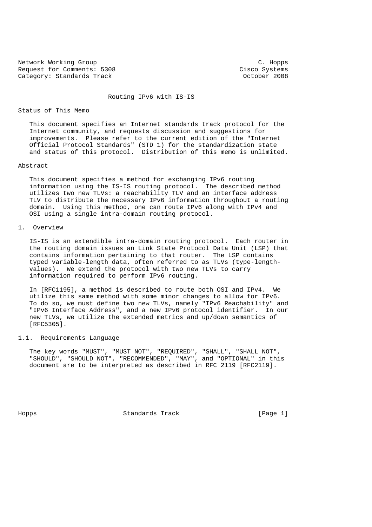Network Working Group C. Hopps Request for Comments: 5308<br>
Category: Standards Track Category: Standards Track Category: Standards Track

# Routing IPv6 with IS-IS

### Status of This Memo

 This document specifies an Internet standards track protocol for the Internet community, and requests discussion and suggestions for improvements. Please refer to the current edition of the "Internet Official Protocol Standards" (STD 1) for the standardization state and status of this protocol. Distribution of this memo is unlimited.

## Abstract

 This document specifies a method for exchanging IPv6 routing information using the IS-IS routing protocol. The described method utilizes two new TLVs: a reachability TLV and an interface address TLV to distribute the necessary IPv6 information throughout a routing domain. Using this method, one can route IPv6 along with IPv4 and OSI using a single intra-domain routing protocol.

## 1. Overview

 IS-IS is an extendible intra-domain routing protocol. Each router in the routing domain issues an Link State Protocol Data Unit (LSP) that contains information pertaining to that router. The LSP contains typed variable-length data, often referred to as TLVs (type-length values). We extend the protocol with two new TLVs to carry information required to perform IPv6 routing.

 In [RFC1195], a method is described to route both OSI and IPv4. We utilize this same method with some minor changes to allow for IPv6. To do so, we must define two new TLVs, namely "IPv6 Reachability" and "IPv6 Interface Address", and a new IPv6 protocol identifier. In our new TLVs, we utilize the extended metrics and up/down semantics of [RFC5305].

# 1.1. Requirements Language

 The key words "MUST", "MUST NOT", "REQUIRED", "SHALL", "SHALL NOT", "SHOULD", "SHOULD NOT", "RECOMMENDED", "MAY", and "OPTIONAL" in this document are to be interpreted as described in RFC 2119 [RFC2119].

Hopps Standards Track [Page 1]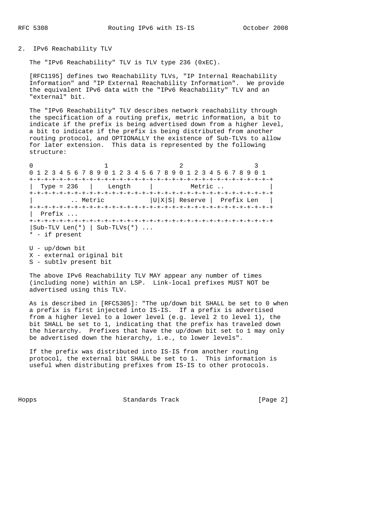## 2. IPv6 Reachability TLV

The "IPv6 Reachability" TLV is TLV type 236 (0xEC).

 [RFC1195] defines two Reachability TLVs, "IP Internal Reachability Information" and "IP External Reachability Information". We provide the equivalent IPv6 data with the "IPv6 Reachability" TLV and an "external" bit.

 The "IPv6 Reachability" TLV describes network reachability through the specification of a routing prefix, metric information, a bit to indicate if the prefix is being advertised down from a higher level, a bit to indicate if the prefix is being distributed from another routing protocol, and OPTIONALLY the existence of Sub-TLVs to allow for later extension. This data is represented by the following structure:

0  $1$  2 3 0 1 2 3 4 5 6 7 8 9 0 1 2 3 4 5 6 7 8 9 0 1 2 3 4 5 6 7 8 9 0 1 +-+-+-+-+-+-+-+-+-+-+-+-+-+-+-+-+-+-+-+-+-+-+-+-+-+-+-+-+-+-+-+-+ | Type = 236 | Length | Metric .. +-+-+-+-+-+-+-+-+-+-+-+-+-+-+-+-+-+-+-+-+-+-+-+-+-+-+-+-+-+-+-+-+ | .. Metric |U|X|S| Reserve | Prefix Len | +-+-+-+-+-+-+-+-+-+-+-+-+-+-+-+-+-+-+-+-+-+-+-+-+-+-+-+-+-+-+-+-+ | Prefix ... +-+-+-+-+-+-+-+-+-+-+-+-+-+-+-+-+-+-+-+-+-+-+-+-+-+-+-+-+-+-+-+-+ |Sub-TLV Len(\*) | Sub-TLVs(\*) ... \* - if present U - up/down bit

X - external original bit

S - subtlv present bit

 The above IPv6 Reachability TLV MAY appear any number of times (including none) within an LSP. Link-local prefixes MUST NOT be advertised using this TLV.

 As is described in [RFC5305]: "The up/down bit SHALL be set to 0 when a prefix is first injected into IS-IS. If a prefix is advertised from a higher level to a lower level (e.g. level 2 to level 1), the bit SHALL be set to 1, indicating that the prefix has traveled down the hierarchy. Prefixes that have the up/down bit set to 1 may only be advertised down the hierarchy, i.e., to lower levels".

 If the prefix was distributed into IS-IS from another routing protocol, the external bit SHALL be set to 1. This information is useful when distributing prefixes from IS-IS to other protocols.

Hopps Standards Track [Page 2]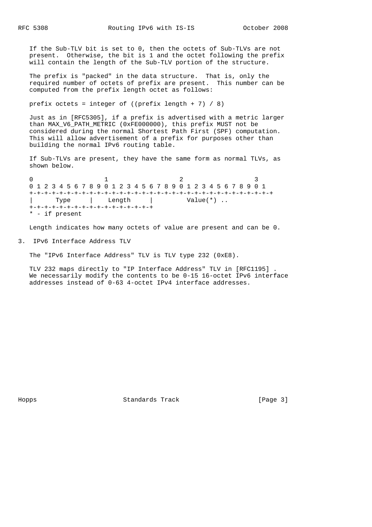If the Sub-TLV bit is set to 0, then the octets of Sub-TLVs are not present. Otherwise, the bit is 1 and the octet following the prefix will contain the length of the Sub-TLV portion of the structure.

 The prefix is "packed" in the data structure. That is, only the required number of octets of prefix are present. This number can be computed from the prefix length octet as follows:

prefix octets = integer of ((prefix length + 7) / 8)

 Just as in [RFC5305], if a prefix is advertised with a metric larger than MAX\_V6\_PATH\_METRIC (0xFE000000), this prefix MUST not be considered during the normal Shortest Path First (SPF) computation. This will allow advertisement of a prefix for purposes other than building the normal IPv6 routing table.

 If Sub-TLVs are present, they have the same form as normal TLVs, as shown below.

0  $1$   $2$   $3$  0 1 2 3 4 5 6 7 8 9 0 1 2 3 4 5 6 7 8 9 0 1 2 3 4 5 6 7 8 9 0 1 +-+-+-+-+-+-+-+-+-+-+-+-+-+-+-+-+-+-+-+-+-+-+-+-+-+-+-+-+-+-+-+-+ | Type | Length | Value(\*).. +-+-+-+-+-+-+-+-+-+-+-+-+-+-+-+-+ \* - if present

Length indicates how many octets of value are present and can be 0.

3. IPv6 Interface Address TLV

The "IPv6 Interface Address" TLV is TLV type 232 (0xE8).

 TLV 232 maps directly to "IP Interface Address" TLV in [RFC1195] . We necessarily modify the contents to be 0-15 16-octet IPv6 interface addresses instead of 0-63 4-octet IPv4 interface addresses.

Hopps Standards Track [Page 3]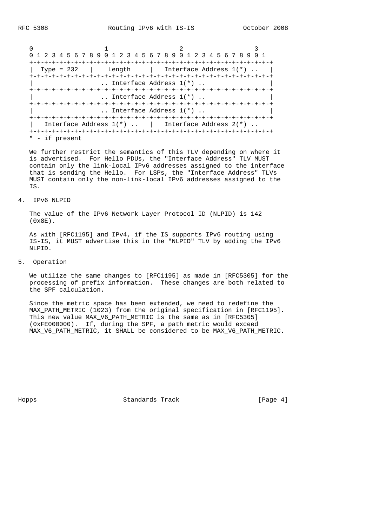| 0 1 2 3 4 5 6 7 8 9 0 1 2 3 4 5 6 7 8 9 0 1 2 3 4 5 6 7 8 9 0 1 |                                                     |  |
|-----------------------------------------------------------------|-----------------------------------------------------|--|
|                                                                 |                                                     |  |
|                                                                 | Type = $232$   Length   Interface Address $1(*)$ .  |  |
|                                                                 | $\ldots$ Interface Address $1(*)$                   |  |
|                                                                 | $\ldots$ Interface Address $1(*)$ $\ldots$          |  |
|                                                                 | Interface Address $1(*)$                            |  |
|                                                                 | Interface Address $1(*)$   Interface Address $2(*)$ |  |
| - if present                                                    |                                                     |  |

 We further restrict the semantics of this TLV depending on where it is advertised. For Hello PDUs, the "Interface Address" TLV MUST contain only the link-local IPv6 addresses assigned to the interface that is sending the Hello. For LSPs, the "Interface Address" TLVs MUST contain only the non-link-local IPv6 addresses assigned to the IS.

### 4. IPv6 NLPID

 The value of the IPv6 Network Layer Protocol ID (NLPID) is 142 (0x8E).

 As with [RFC1195] and IPv4, if the IS supports IPv6 routing using IS-IS, it MUST advertise this in the "NLPID" TLV by adding the IPv6 NLPID.

# 5. Operation

 We utilize the same changes to [RFC1195] as made in [RFC5305] for the processing of prefix information. These changes are both related to the SPF calculation.

 Since the metric space has been extended, we need to redefine the MAX\_PATH\_METRIC (1023) from the original specification in [RFC1195]. This new value MAX\_V6\_PATH\_METRIC is the same as in [RFC5305] (0xFE000000). If, during the SPF, a path metric would exceed MAX\_V6\_PATH\_METRIC, it SHALL be considered to be MAX\_V6\_PATH\_METRIC.

Hopps Standards Track [Page 4]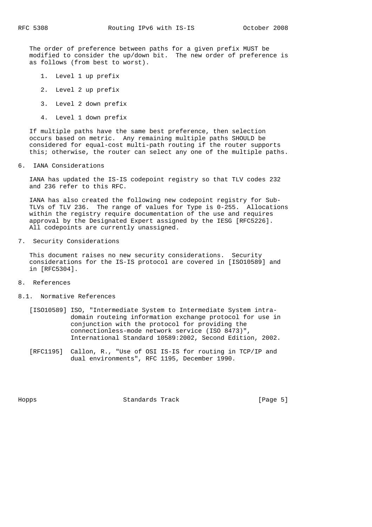The order of preference between paths for a given prefix MUST be modified to consider the up/down bit. The new order of preference is as follows (from best to worst).

- 1. Level 1 up prefix
- 2. Level 2 up prefix
- 3. Level 2 down prefix
- 4. Level 1 down prefix

 If multiple paths have the same best preference, then selection occurs based on metric. Any remaining multiple paths SHOULD be considered for equal-cost multi-path routing if the router supports this; otherwise, the router can select any one of the multiple paths.

### 6. IANA Considerations

 IANA has updated the IS-IS codepoint registry so that TLV codes 232 and 236 refer to this RFC.

 IANA has also created the following new codepoint registry for Sub- TLVs of TLV 236. The range of values for Type is 0-255. Allocations within the registry require documentation of the use and requires approval by the Designated Expert assigned by the IESG [RFC5226]. All codepoints are currently unassigned.

7. Security Considerations

 This document raises no new security considerations. Security considerations for the IS-IS protocol are covered in [ISO10589] and in [RFC5304].

## 8. References

- 8.1. Normative References
	- [ISO10589] ISO, "Intermediate System to Intermediate System intra domain routeing information exchange protocol for use in conjunction with the protocol for providing the connectionless-mode network service (ISO 8473)", International Standard 10589:2002, Second Edition, 2002.
	- [RFC1195] Callon, R., "Use of OSI IS-IS for routing in TCP/IP and dual environments", RFC 1195, December 1990.

Hopps Standards Track [Page 5]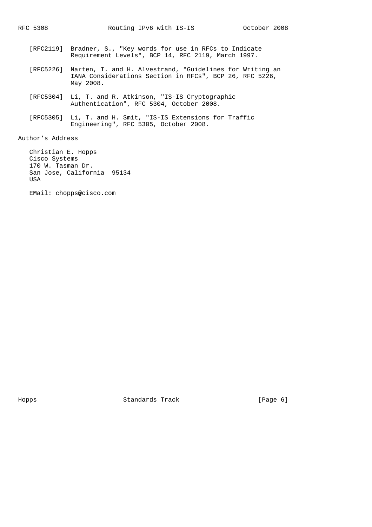- [RFC2119] Bradner, S., "Key words for use in RFCs to Indicate Requirement Levels", BCP 14, RFC 2119, March 1997.
- [RFC5226] Narten, T. and H. Alvestrand, "Guidelines for Writing an IANA Considerations Section in RFCs", BCP 26, RFC 5226, May 2008.
- [RFC5304] Li, T. and R. Atkinson, "IS-IS Cryptographic Authentication", RFC 5304, October 2008.
- [RFC5305] Li, T. and H. Smit, "IS-IS Extensions for Traffic Engineering", RFC 5305, October 2008.

Author's Address

 Christian E. Hopps Cisco Systems 170 W. Tasman Dr. San Jose, California 95134 USA

EMail: chopps@cisco.com

Hopps Standards Track [Page 6]